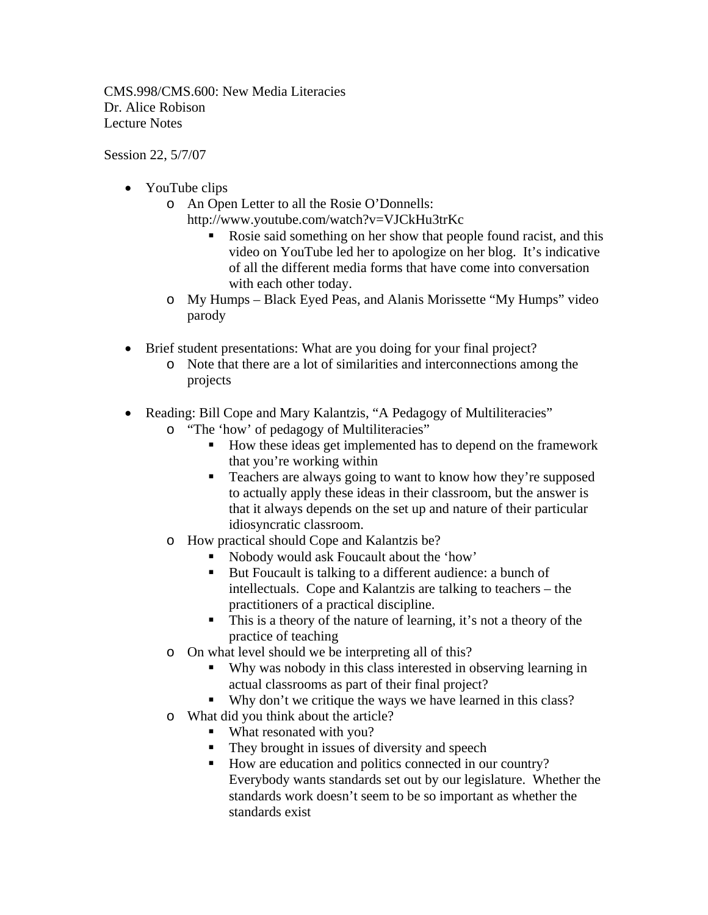CMS.998/CMS.600: New Media Literacies Dr. Alice Robison Lecture Notes

Session 22, 5/7/07

- YouTube clips
	- o An Open Letter to all the Rosie O'Donnells:
		- http://www.youtube.com/watch?v=VJCkHu3trKc
			- Rosie said something on her show that people found racist, and this video on YouTube led her to apologize on her blog. It's indicative of all the different media forms that have come into conversation with each other today.
	- o My Humps Black Eyed Peas, and Alanis Morissette "My Humps" video parody
- Brief student presentations: What are you doing for your final project?
	- o Note that there are a lot of similarities and interconnections among the projects
- Reading: Bill Cope and Mary Kalantzis, "A Pedagogy of Multiliteracies"
	- o "The 'how' of pedagogy of Multiliteracies"
		- How these ideas get implemented has to depend on the framework that you're working within
		- **Teachers are always going to want to know how they're supposed** to actually apply these ideas in their classroom, but the answer is that it always depends on the set up and nature of their particular idiosyncratic classroom.
	- o How practical should Cope and Kalantzis be?
		- Nobody would ask Foucault about the 'how'
		- But Foucault is talking to a different audience: a bunch of intellectuals. Cope and Kalantzis are talking to teachers – the practitioners of a practical discipline.
		- This is a theory of the nature of learning, it's not a theory of the practice of teaching
	- o On what level should we be interpreting all of this?
		- Why was nobody in this class interested in observing learning in actual classrooms as part of their final project?
		- Why don't we critique the ways we have learned in this class?
	- o What did you think about the article?
		- What resonated with you?
		- They brought in issues of diversity and speech
		- How are education and politics connected in our country? Everybody wants standards set out by our legislature. Whether the standards work doesn't seem to be so important as whether the standards exist